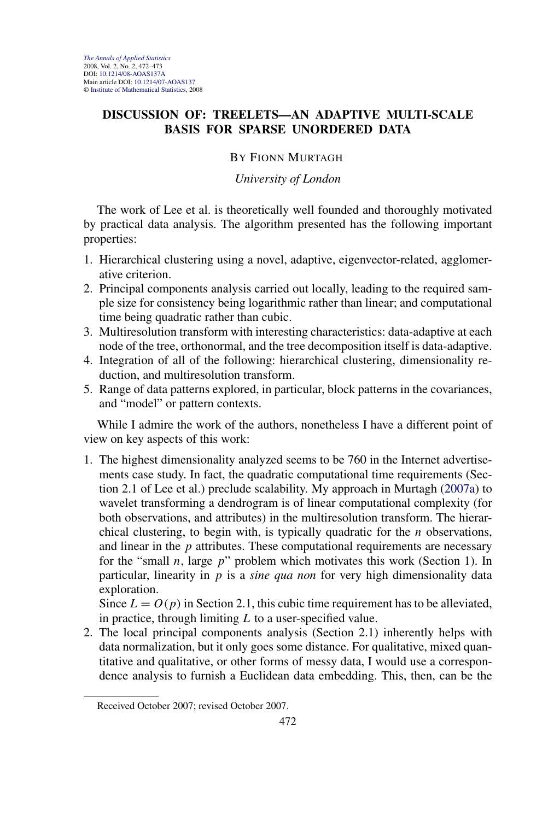## **DISCUSSION OF: TREELETS—AN ADAPTIVE MULTI-SCALE BASIS FOR SPARSE UNORDERED DATA**

## BY FIONN MURTAGH

## *University of London*

The work of Lee et al. is theoretically well founded and thoroughly motivated by practical data analysis. The algorithm presented has the following important properties:

- 1. Hierarchical clustering using a novel, adaptive, eigenvector-related, agglomerative criterion.
- 2. Principal components analysis carried out locally, leading to the required sample size for consistency being logarithmic rather than linear; and computational time being quadratic rather than cubic.
- 3. Multiresolution transform with interesting characteristics: data-adaptive at each node of the tree, orthonormal, and the tree decomposition itself is data-adaptive.
- 4. Integration of all of the following: hierarchical clustering, dimensionality reduction, and multiresolution transform.
- 5. Range of data patterns explored, in particular, block patterns in the covariances, and "model" or pattern contexts.

While I admire the work of the authors, nonetheless I have a different point of view on key aspects of this work:

1. The highest dimensionality analyzed seems to be 760 in the Internet advertisements case study. In fact, the quadratic computational time requirements (Section 2.1 of Lee et al.) preclude scalability. My approach in Murtagh [\(2007a\)](#page-1-0) to wavelet transforming a dendrogram is of linear computational complexity (for both observations, and attributes) in the multiresolution transform. The hierarchical clustering, to begin with, is typically quadratic for the *n* observations, and linear in the *p* attributes. These computational requirements are necessary for the "small *n*, large *p*" problem which motivates this work (Section 1). In particular, linearity in *p* is a *sine qua non* for very high dimensionality data exploration.

Since  $L = O(p)$  in Section 2.1, this cubic time requirement has to be alleviated, in practice, through limiting *L* to a user-specified value.

2. The local principal components analysis (Section 2.1) inherently helps with data normalization, but it only goes some distance. For qualitative, mixed quantitative and qualitative, or other forms of messy data, I would use a correspondence analysis to furnish a Euclidean data embedding. This, then, can be the

Received October 2007; revised October 2007.